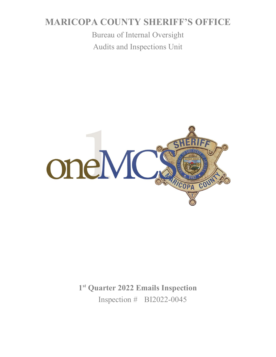# **MARICOPA COUNTY SHERIFF'S OFFICE**

Bureau of Internal Oversight Audits and Inspections Unit



**1st Quarter 2022 Emails Inspection** Inspection # BI2022-0045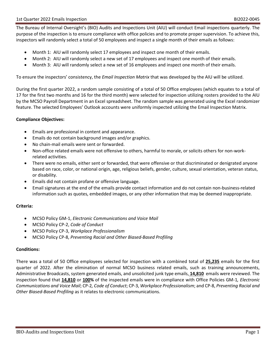The Bureau of Internal Oversight's (BIO) Audits and Inspections Unit (AIU) will conduct Email inspections quarterly. The purpose of the inspection is to ensure compliance with office policies and to promote proper supervision. To achieve this, inspectors will randomly select a total of 50 employees and inspect a single month of their emails as follows:

- Month 1: AIU will randomly select 17 employees and inspect one month of their emails.
- Month 2: AIU will randomly select a new set of 17 employees and inspect one month of their emails.
- Month 3: AIU will randomly select a new set of 16 employees and inspect one month of their emails.

To ensure the inspectors' consistency, the *Email Inspection Matrix* that was developed by the AIU will be utilized.

During the first quarter 2022, a random sample consisting of a total of 50 Office employees (which equates to a total of 17 for the first two months and 16 for the third month) were selected for inspection utilizing rosters provided to the AIU by the MCSO Payroll Department in an Excel spreadsheet. The random sample was generated using the Excel randomizer feature. The selected Employees' Outlook accounts were uniformly inspected utilizing the Email Inspection Matrix.

#### **Compliance Objectives:**

- Emails are professional in content and appearance.
- Emails do not contain background images and/or graphics.
- No chain-mail emails were sent or forwarded.
- Non-office related emails were not offensive to others, harmful to morale, or solicits others for non-workrelated activities.
- There were no emails, either sent or forwarded, that were offensive or that discriminated or denigrated anyone based on race, color, or national origin, age, religious beliefs, gender, culture, sexual orientation, veteran status, or disability.
- Emails did not contain profane or offensive language.
- Email signatures at the end of the emails provide contact information and do not contain non-business-related information such as quotes, embedded images, or any other information that may be deemed inappropriate.

### **Criteria:**

- MCSO Policy GM-1, *Electronic Communications and Voice Mail*
- MCSO Policy CP-2, *Code of Conduct*
- MCSO Policy CP-3, *Workplace Professionalism*
- MCSO Policy CP-8, *Preventing Racial and Other Biased-Based Profiling*

#### **Conditions:**

There was a total of 50 Office employees selected for inspection with a combined total of **25,235** emails for the first quarter of 2022. After the elimination of normal MCSO business related emails, such as training announcements, Administrative Broadcasts, system generated emails, and unsolicited junk type emails, **14,810** emails were reviewed. The inspection found that **14,810** or **100%** of the inspected emails were in compliance with Office Policies GM-1*, Electronic Communications and Voice Mail*; CP-2*, Code of Conduct*; CP-3, *Workplace Professionalism*; and CP-8, *Preventing Racial and Other Biased-Based Profiling* as it relates to electronic communications.